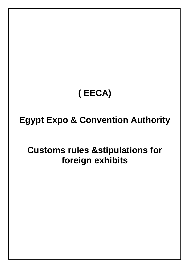# **( EECA)**

## **Egypt Expo & Convention Authority**

## **Customs rules &stipulations for foreign exhibits**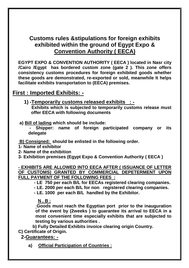### **Customs rules &stipulations for foreign exhibits exhibited within the ground of Egypt Expo & Convention Authority ( EECA)**

**EGYPT EXPO & CONVENTION AUTHORITY ( EECA ) located in Nasr city /Cairo /Egypt has bordered custom zone (gate 2 ). This zone offers consistency customs procedures for foreign exhibited goods whether these goods are demonstrated, re-exported or sold, meanwhile It helps facilitate exhibits transportation to (EECA) premises.**

#### **First : Imported Exhibits: -**

- **1) -Temporarily customs released exhibits : - Exhibits which is subjected to temporarily customs release must offer EECA with following documents**
- **a) Bill of lading which should be include:**

**- Shipper: name of foreign participated company or its delegate** 

**B) Consigned: should be enlisted in the following order.**

- **1- Name of exhibitor**
- **2- Name of the exhibition**

**3- Exhibition premises (Egypt Expo & Convention Authority ( EECA )**

**- EXHIBITS ARE ALLOWED INTO EECA AFTER ( ISSUANCE OF LETTER OF CUSTOMS) GRANTED BY COMMERCIAL DEPETERMENT UPON FULL PAYMENT OF THE FOLLOWING FEES :**

- **- LE 750 per each B/L for EECAs registered clearing companies.**
- **- LE. 2000 per each B/L for non registered clearing companies.**
- **- LE. 1000 per each B/L handled by the Exhibitor.**

**N . B :**

**Goods must reach the Egyptian port prior to the inauguration of the event by (2weeks ) to guarantee its arrival to EECA in a most convenient time especially exhibits that are subjected to testing by various authorities .**

**b) Fully Detailed Exhibits invoice clearing origin Country.**

**C) Certificate of Origin.** 

 **2-Guarantees: -**

**a) Official Participation of Countries :**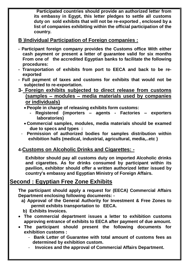**Participated countries should provide an authorized letter from its embassy in Egypt, this letter pledges to settle all customs duty on sold exhibits that will not be re-exported , enclosed by a list of companies exhibiting within the official participation of the country.** 

#### **B (Individual Participation of Foreign companies :**

- **- Participant foreign company provides the Customs office With either cash payment or present a letter of guarantee valid for six months From one of the accredited Egyptian banks to facilitate the following procedures:**
- **- Transportation of exhibits from port to EECA and back to be reexported**
- **- Full payment of taxes and customs for exhibits that would not be subjected to re-exportation.**
- **3- Foreign exhibits subjected to direct release from customs (samples – modules – media materials used by companies or individuals)**
	- **People in charge of releasing exhibits form customs:**
		- **- Registered (importers – agents - Factories – exporters laboratories)**
	- **Commercial samples, modules, media materials should be examed due to specs and types :**
	- **Permission of authorized bodies for samples distribution within exhibition halls (medical, industrial, agricultural, media,..etc )**

#### **4-Customs on Alcoholic Drinks and Cigarettes: -**

**Exhibitor should pay all customs duty on imported Alcoholic drinks and cigarettes. As for drinks consumed by participant within its pavilion, exhibitor should offer a written authorized letter issued by country's embassy and Egyptian Ministry of Foreign Affairs.** 

### **Second : Egyptian Free Zone Exhibits**

**The participant should apply a request for (EECA) Commercial Affairs Department enclosing following documents: -**

- **a) Approval of the General Authority for Investment & Free Zones to permit exhibits transportation to EECA.**
- **b) Exhibits Invoices.**
- **The commercial department issues a letter to exhibition customs approving entrance of exhibits to EECA after payment of due amount.**
- **The participant should present the following documents for exhibition customs :**
	- **Bank Letter of Guarantee with total amount of customs fees as determined by exhibition custom.**
	- - **Invoices and the approval of Commercial Affairs Department.**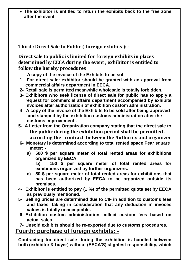**The exhibitor is entitled to return the exhibits back to the free zone after the event.**

#### **Third : Direct Sale to Public ( foreign exhibits ): -**

**Direct sale to public is limited for foreign exhibits in places determined by EECA during the event , exhibitor is entitled to follow the hereby procedures**

 **A copy of the invoice of the Exhibits to be sol** 

- **1- For direct sale: exhibitor should be granted with an approval from commercial affairs department in EECA.**
- **2- Retail sale is permitted meanwhile wholesale is totally forbidden.**
- **3- Exhibitors who seek license of direct sale for public has to apply a request for commercial affairs department accompanied by exhibits invoices after authorization of exhibition custom administration.**
- **4- A copy of the invoice of the Exhibits to be sold after being approved and stamped by the exhibition customs administration after the customs improvement .**
- **5- A Letter from the Organization company stating that the direct sale to the public during the exhibition period shall be permitted . according the contract between the Authority and organizer**
- **6- Monetary is determined according to total rented space Pear square meter:** 
	- **a) 500 \$ per square meter of total rented areas for exhibitions organized by EECA.**

**b) 150 \$ per square meter of total rented areas for exhibitions organized by further organizers.**

- **c) 50 \$ per square meter of total rented areas for exhibitions that has been authorized by EECA to be organized outside its premises.**
- **4- Exhibitor is entitled to pay (1 %) of the permitted quota set by EECA as previously mentioned.**
- **5- Selling prices are determined due to CIF in addition to customs fees and taxes, taking in consideration that any deduction in invoces values is totally unacceptable.**
- **6- Exhibition custom administration collect custom fees based on actual sales**

**7- Unsold exhibits should be re-exported due to customs procedures.**

## **Fourth: purchase of foreign exhibits: -**

**Contracting for direct sale during the exhibition is handled between both (exhibitor & buyer) without (EECA'S) slightest responsibility, which**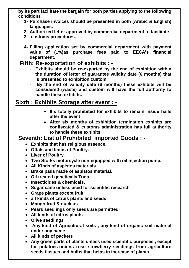**by its part facilitate the bargain for both parties applying to the following conditions**

- **1- Purchase invoices should be presented in both (Arabic & English) languages.**
- **2- Authorized letter approved by commercial department to facilitate**
- **3- customs procedures.**
- **4- Filling application set by commercial department with payment value of (1%)as purchase fees paid to EECA's financial department.**

#### **Fifth: Re-exportation of exhibits : -**

- **Exhibits should be re-exported by the end of exhibition within the duration of letter of guarantee validity date (6 months) that is presented to exhibition custom.**
- **By the end of validity date (6 months) these exhibits will be considered (waste) and custom will have the full authority to handle these exhibits.**

#### **Sixth : Exhibits Storage after event : -**

- **It's totally prohibited for exhibits to remain inside halls after the event .**
- **After six months of exhibition termination exhibits are confiscated & customs administration has full authority to handle these exhibits**

#### **Seventh: List of Prohibited imported Goods : -**

- **Exhibits that has religious essence.**
- **Offals and limbs of Poultry.**
- **Liver of Poultry.**
- **Two Storks motorcycle non-equipped with oil injection pump.**
- **All Kinds of aspistos materials.**
- **Brake pads made of aspistos material.**
- **Oil treated genetically Tuna.**
- **Insecticides & chemicals.**
- **Sugar cane unless used for scientific research**
- **Grape plants except fruit**
- **all kinds of citruis plants and seeds**
- **Mango fruit & nucleus**
- **Pears seedlings only seeds are permitted**
- **All kinds of citrus plants**
- **Olive seedlings**
- **Any kind of Agricultural soils , any kind of organic soil material under any name**
- **All kinds of packets**
- **Any green parts of plants unless used scientific purposes , except for potatoes-onions rose strawberry seedlings from agriculture seeds tissues and bulbs that helps in increase of plants**